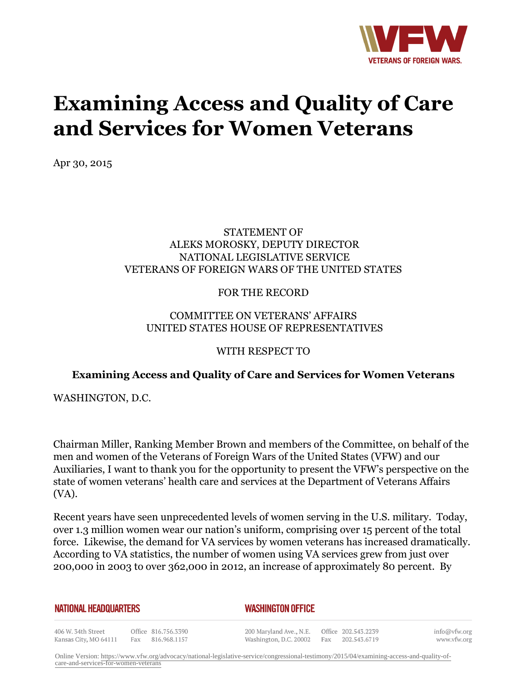

# **Examining Access and Quality of Care and Services for Women Veterans**

Apr 30, 2015

### STATEMENT OF ALEKS MOROSKY, DEPUTY DIRECTOR NATIONAL LEGISLATIVE SERVICE VETERANS OF FOREIGN WARS OF THE UNITED STATES

### FOR THE RECORD

## COMMITTEE ON VETERANS' AFFAIRS UNITED STATES HOUSE OF REPRESENTATIVES

#### WITH RESPECT TO

## **Examining Access and Quality of Care and Services for Women Veterans**

WASHINGTON, D.C.

Chairman Miller, Ranking Member Brown and members of the Committee, on behalf of the men and women of the Veterans of Foreign Wars of the United States (VFW) and our Auxiliaries, I want to thank you for the opportunity to present the VFW's perspective on the state of women veterans' health care and services at the Department of Veterans Affairs (VA).

Recent years have seen unprecedented levels of women serving in the U.S. military. Today, over 1.3 million women wear our nation's uniform, comprising over 15 percent of the total force. Likewise, the demand for VA services by women veterans has increased dramatically. According to VA statistics, the number of women using VA services grew from just over 200,000 in 2003 to over 362,000 in 2012, an increase of approximately 80 percent. By

**NATIONAL HEADQUARTERS** 

#### *WASHINGTON OFFICE*

406 W. 34th Street Office 816.756.3390 Kansas City, MO 64111 Fax 816.968.1157

200 Maryland Ave., N.E. Washington, D.C. 20002 Fax 202.543.6719

Office 202.543.2239

info@vfw.org www.vfw.org

Online Version: [https://www.vfw.org/advocacy/national-legislative-service/congressional-testimony/2015/04/examining-access-and-quality-of](https://www.vfw.org/advocacy/national-legislative-service/congressional-testimony/2015/04/examining-access-and-quality-of-care-and-services-for-women-veterans)[care-and-services-for-women-veterans](https://www.vfw.org/advocacy/national-legislative-service/congressional-testimony/2015/04/examining-access-and-quality-of-care-and-services-for-women-veterans)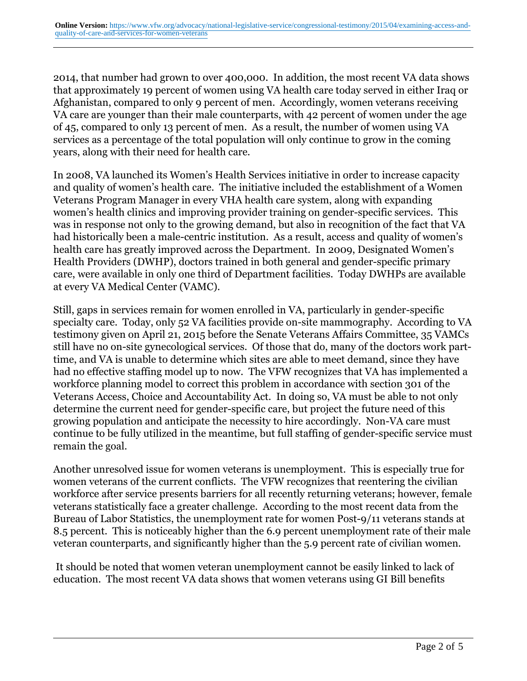2014, that number had grown to over 400,000. In addition, the most recent VA data shows that approximately 19 percent of women using VA health care today served in either Iraq or Afghanistan, compared to only 9 percent of men. Accordingly, women veterans receiving VA care are younger than their male counterparts, with 42 percent of women under the age of 45, compared to only 13 percent of men. As a result, the number of women using VA services as a percentage of the total population will only continue to grow in the coming years, along with their need for health care.

In 2008, VA launched its Women's Health Services initiative in order to increase capacity and quality of women's health care. The initiative included the establishment of a Women Veterans Program Manager in every VHA health care system, along with expanding women's health clinics and improving provider training on gender-specific services. This was in response not only to the growing demand, but also in recognition of the fact that VA had historically been a male-centric institution. As a result, access and quality of women's health care has greatly improved across the Department. In 2009, Designated Women's Health Providers (DWHP), doctors trained in both general and gender-specific primary care, were available in only one third of Department facilities. Today DWHPs are available at every VA Medical Center (VAMC).

Still, gaps in services remain for women enrolled in VA, particularly in gender-specific specialty care. Today, only 52 VA facilities provide on-site mammography. According to VA testimony given on April 21, 2015 before the Senate Veterans Affairs Committee, 35 VAMCs still have no on-site gynecological services. Of those that do, many of the doctors work parttime, and VA is unable to determine which sites are able to meet demand, since they have had no effective staffing model up to now. The VFW recognizes that VA has implemented a workforce planning model to correct this problem in accordance with section 301 of the Veterans Access, Choice and Accountability Act. In doing so, VA must be able to not only determine the current need for gender-specific care, but project the future need of this growing population and anticipate the necessity to hire accordingly. Non-VA care must continue to be fully utilized in the meantime, but full staffing of gender-specific service must remain the goal.

Another unresolved issue for women veterans is unemployment. This is especially true for women veterans of the current conflicts. The VFW recognizes that reentering the civilian workforce after service presents barriers for all recently returning veterans; however, female veterans statistically face a greater challenge. According to the most recent data from the Bureau of Labor Statistics, the unemployment rate for women Post-9/11 veterans stands at 8.5 percent. This is noticeably higher than the 6.9 percent unemployment rate of their male veteran counterparts, and significantly higher than the 5.9 percent rate of civilian women.

 It should be noted that women veteran unemployment cannot be easily linked to lack of education. The most recent VA data shows that women veterans using GI Bill benefits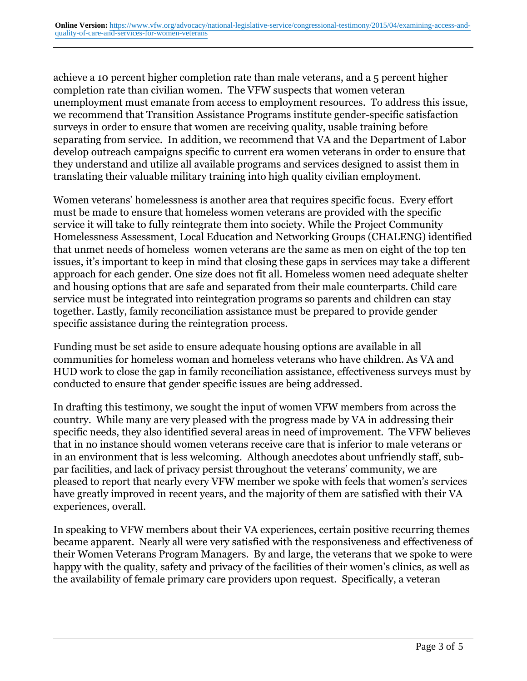achieve a 10 percent higher completion rate than male veterans, and a 5 percent higher completion rate than civilian women. The VFW suspects that women veteran unemployment must emanate from access to employment resources. To address this issue, we recommend that Transition Assistance Programs institute gender-specific satisfaction surveys in order to ensure that women are receiving quality, usable training before separating from service. In addition, we recommend that VA and the Department of Labor develop outreach campaigns specific to current era women veterans in order to ensure that they understand and utilize all available programs and services designed to assist them in translating their valuable military training into high quality civilian employment.

Women veterans' homelessness is another area that requires specific focus. Every effort must be made to ensure that homeless women veterans are provided with the specific service it will take to fully reintegrate them into society. While the Project Community Homelessness Assessment, Local Education and Networking Groups (CHALENG) identified that unmet needs of homeless women veterans are the same as men on eight of the top ten issues, it's important to keep in mind that closing these gaps in services may take a different approach for each gender. One size does not fit all. Homeless women need adequate shelter and housing options that are safe and separated from their male counterparts. Child care service must be integrated into reintegration programs so parents and children can stay together. Lastly, family reconciliation assistance must be prepared to provide gender specific assistance during the reintegration process.

Funding must be set aside to ensure adequate housing options are available in all communities for homeless woman and homeless veterans who have children. As VA and HUD work to close the gap in family reconciliation assistance, effectiveness surveys must by conducted to ensure that gender specific issues are being addressed.

In drafting this testimony, we sought the input of women VFW members from across the country. While many are very pleased with the progress made by VA in addressing their specific needs, they also identified several areas in need of improvement. The VFW believes that in no instance should women veterans receive care that is inferior to male veterans or in an environment that is less welcoming. Although anecdotes about unfriendly staff, subpar facilities, and lack of privacy persist throughout the veterans' community, we are pleased to report that nearly every VFW member we spoke with feels that women's services have greatly improved in recent years, and the majority of them are satisfied with their VA experiences, overall.

In speaking to VFW members about their VA experiences, certain positive recurring themes became apparent. Nearly all were very satisfied with the responsiveness and effectiveness of their Women Veterans Program Managers. By and large, the veterans that we spoke to were happy with the quality, safety and privacy of the facilities of their women's clinics, as well as the availability of female primary care providers upon request. Specifically, a veteran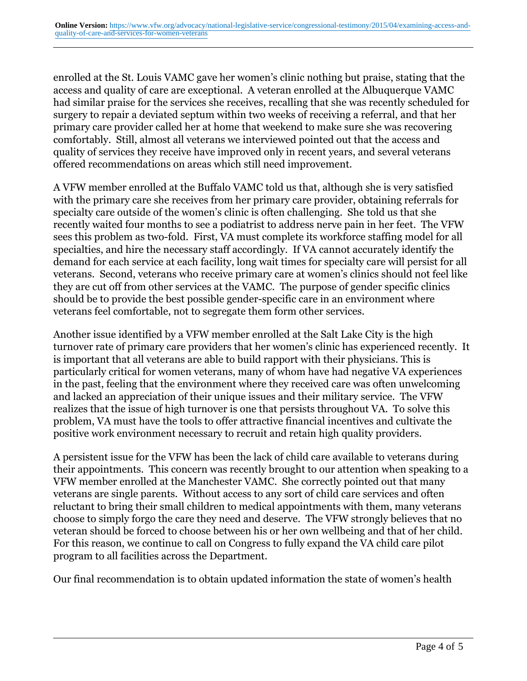enrolled at the St. Louis VAMC gave her women's clinic nothing but praise, stating that the access and quality of care are exceptional. A veteran enrolled at the Albuquerque VAMC had similar praise for the services she receives, recalling that she was recently scheduled for surgery to repair a deviated septum within two weeks of receiving a referral, and that her primary care provider called her at home that weekend to make sure she was recovering comfortably. Still, almost all veterans we interviewed pointed out that the access and quality of services they receive have improved only in recent years, and several veterans offered recommendations on areas which still need improvement.

A VFW member enrolled at the Buffalo VAMC told us that, although she is very satisfied with the primary care she receives from her primary care provider, obtaining referrals for specialty care outside of the women's clinic is often challenging. She told us that she recently waited four months to see a podiatrist to address nerve pain in her feet. The VFW sees this problem as two-fold. First, VA must complete its workforce staffing model for all specialties, and hire the necessary staff accordingly. If VA cannot accurately identify the demand for each service at each facility, long wait times for specialty care will persist for all veterans. Second, veterans who receive primary care at women's clinics should not feel like they are cut off from other services at the VAMC. The purpose of gender specific clinics should be to provide the best possible gender-specific care in an environment where veterans feel comfortable, not to segregate them form other services.

Another issue identified by a VFW member enrolled at the Salt Lake City is the high turnover rate of primary care providers that her women's clinic has experienced recently. It is important that all veterans are able to build rapport with their physicians. This is particularly critical for women veterans, many of whom have had negative VA experiences in the past, feeling that the environment where they received care was often unwelcoming and lacked an appreciation of their unique issues and their military service. The VFW realizes that the issue of high turnover is one that persists throughout VA. To solve this problem, VA must have the tools to offer attractive financial incentives and cultivate the positive work environment necessary to recruit and retain high quality providers.

A persistent issue for the VFW has been the lack of child care available to veterans during their appointments. This concern was recently brought to our attention when speaking to a VFW member enrolled at the Manchester VAMC. She correctly pointed out that many veterans are single parents. Without access to any sort of child care services and often reluctant to bring their small children to medical appointments with them, many veterans choose to simply forgo the care they need and deserve. The VFW strongly believes that no veteran should be forced to choose between his or her own wellbeing and that of her child. For this reason, we continue to call on Congress to fully expand the VA child care pilot program to all facilities across the Department.

Our final recommendation is to obtain updated information the state of women's health